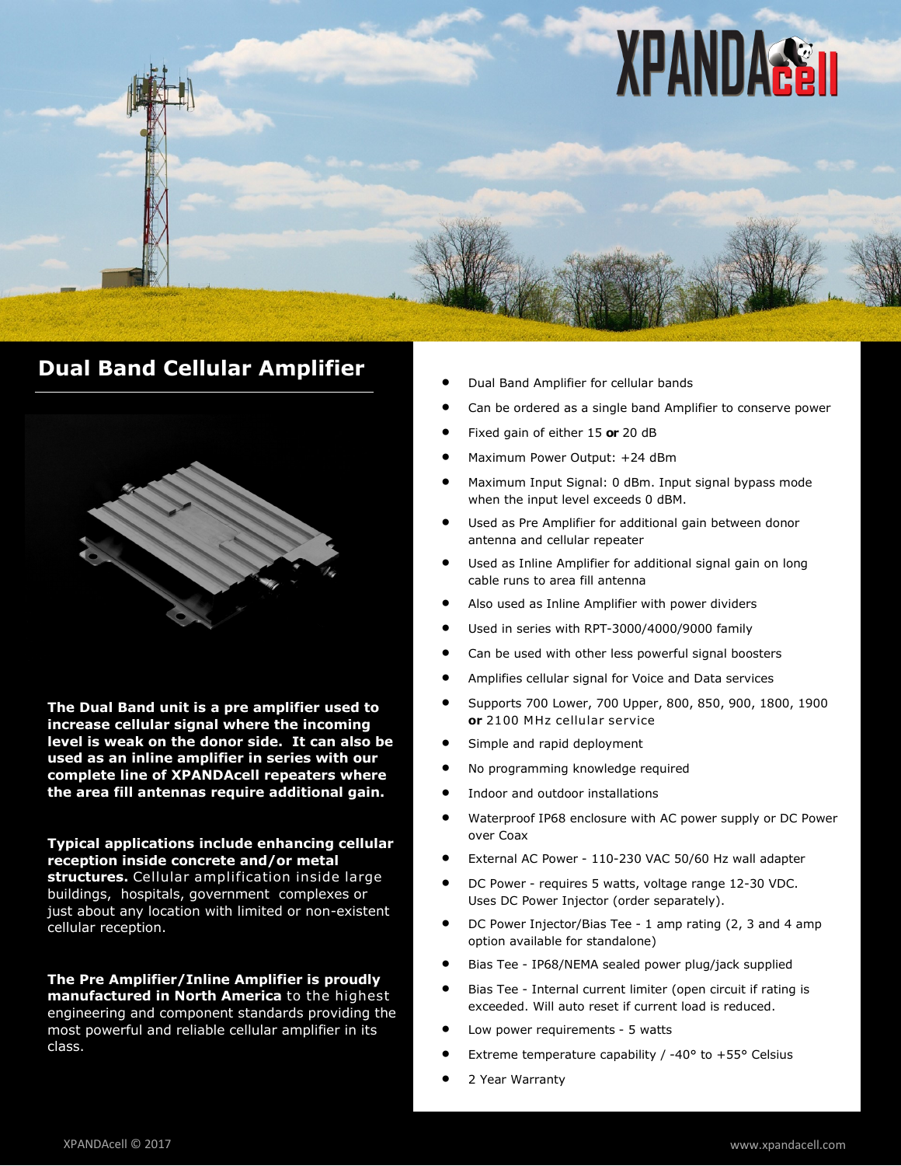

## **Dual Band Cellular Amplifier**



**The Dual Band unit is a pre amplifier used to increase cellular signal where the incoming level is weak on the donor side. It can also be used as an inline amplifier in series with our complete line of XPANDAcell repeaters where the area fill antennas require additional gain.**

**Typical applications include enhancing cellular reception inside concrete and/or metal structures.** Cellular amplification inside large buildings, hospitals, government complexes or just about any location with limited or non-existent cellular reception.

**The Pre Amplifier/Inline Amplifier is proudly manufactured in North America** to the highest engineering and component standards providing the most powerful and reliable cellular amplifier in its class.

- Dual Band Amplifier for cellular bands
- Can be ordered as a single band Amplifier to conserve power
- Fixed gain of either 15 **or** 20 dB
- Maximum Power Output: +24 dBm
- Maximum Input Signal: 0 dBm. Input signal bypass mode when the input level exceeds 0 dBM.
- Used as Pre Amplifier for additional gain between donor antenna and cellular repeater
- Used as Inline Amplifier for additional signal gain on long cable runs to area fill antenna
- Also used as Inline Amplifier with power dividers
- Used in series with RPT-3000/4000/9000 family
- Can be used with other less powerful signal boosters
- Amplifies cellular signal for Voice and Data services
- Supports 700 Lower, 700 Upper, 800, 850, 900, 1800, 1900 **or** 2100 MHz cellular service
- Simple and rapid deployment
- No programming knowledge required
- Indoor and outdoor installations
- Waterproof IP68 enclosure with AC power supply or DC Power over Coax
- External AC Power <sup>110</sup>-230 VAC 50/60 Hz wall adapter
- DC Power requires 5 watts, voltage range 12-30 VDC. Uses DC Power Injector (order separately).
- DC Power Injector/Bias Tee 1 amp rating (2, 3 and 4 amp option available for standalone)
- Bias Tee IP68/NEMA sealed power plug/jack supplied
- Bias Tee Internal current limiter (open circuit if rating is exceeded. Will auto reset if current load is reduced.
- Low power requirements 5 watts
- Extreme temperature capability / -40° to +55° Celsius
- 2 Year Warranty